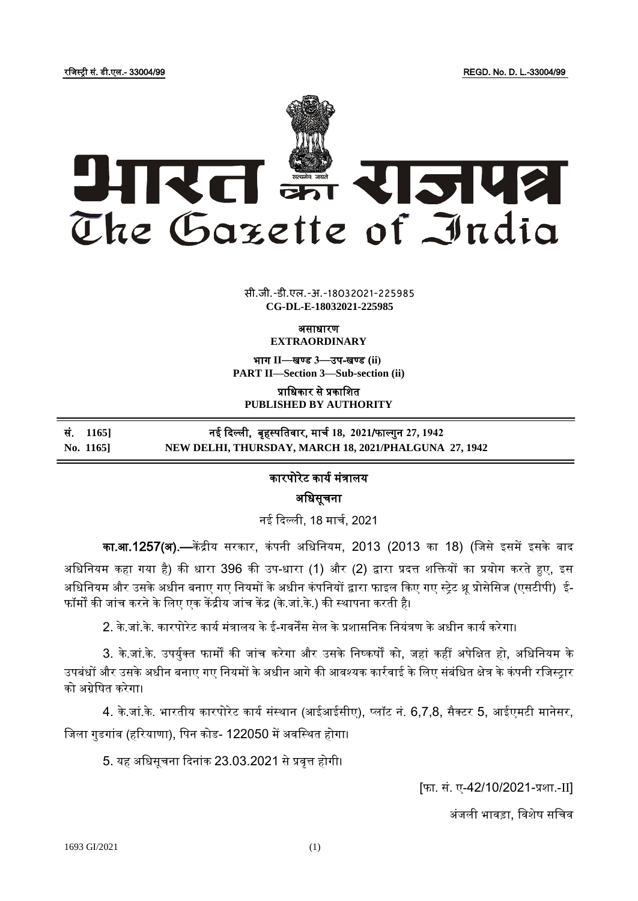रजिस्ट्री सं. डी.एल.- 33004/99 REGD. No. D. L.-33004/99



**x** सी.जी.-डी.एल.-अ.-18032021-225985 **CG-DL-E-18032021-225985**

> असाधारण **EXTRAORDINARY**

भाग **II**—खण् ड **3**—उप-खण् ड **(ii) PART II—Section 3—Sub-section (ii)**

प्राजधकार से प्रकाजित **PUBLISHED BY AUTHORITY**

<u>सं. 1165]</u> नई दिल्ली, बृहस्पतिवार, मार्च 18, 2021/फाल्गुन 27, 1942 **No. 1165] NEW DELHI, THURSDAY, MARCH 18, 2021/PHALGUNA 27, 1942**

## कारपोरेट कार्य मंत्रालर्

अजधसूचना

नई दिल्ली, 18 मार्च, 2021

का.आ.1257(अ).—केंद्रीय सरकार, कंपनी अधिनियम, 2013 (2013 का 18) (जिसे इसमें इसके बाद अधिनियम कहा गया है) की धारा 396 की उप-धारा (1) और (2) द्वारा प्रदत्त शक्तियों का प्रयोग करते हुए, इस अधिनियम और उसके अधीन बनाए गए नियमों के अधीन कंपनियों द्वारा फाइल किए गए स्ट्रेट थ्रू प्रोसेसिज (एसटीपी) ई-फॉर्मों की जांच करने के लिए एक केंद्रीय जांच केंद्र (के.जां.के.) की स्थापना करती है।

2. के.िां.के. कारपोरेट कार्यमंत्रालर् केई-गवनेंस सेल केप्रिासजनक जनर्ंत्रण केअधीन कार्यकरेगा।

3. के.जां.के. उपर्यक्त फार्मों की जांच करेगा और उसके निष्कर्षों को, जहां कहीं अपेक्षित हो, अधिनियम के उपबंधों और उसके अधीन बनाए गए नियमों के अधीन आगे की आवश्यक कार्रवाई के लिए संबंधित क्षेत्र के कंपनी रजिस्ट्रार को अग्रेजर्षत करेगा।

4. के.जां.के. भारतीय कारपोरेट कार्य संस्थान (आईआईसीए), प्लॉट नं. 6,7,8, सैक्टर 5, आईएमटी मानेसर, जिला गुडगांव (हरियाणा), पिन कोड- 122050 में अवस्थित होगा।

5. र्ह अजधसूचना दिनांक 23.03.2021 सेप्रवृत्त होगी।

[फा. सं. ए-42/10/2021-प्रशा.-II]

अंजली भावड़ा. विशेष सचिव